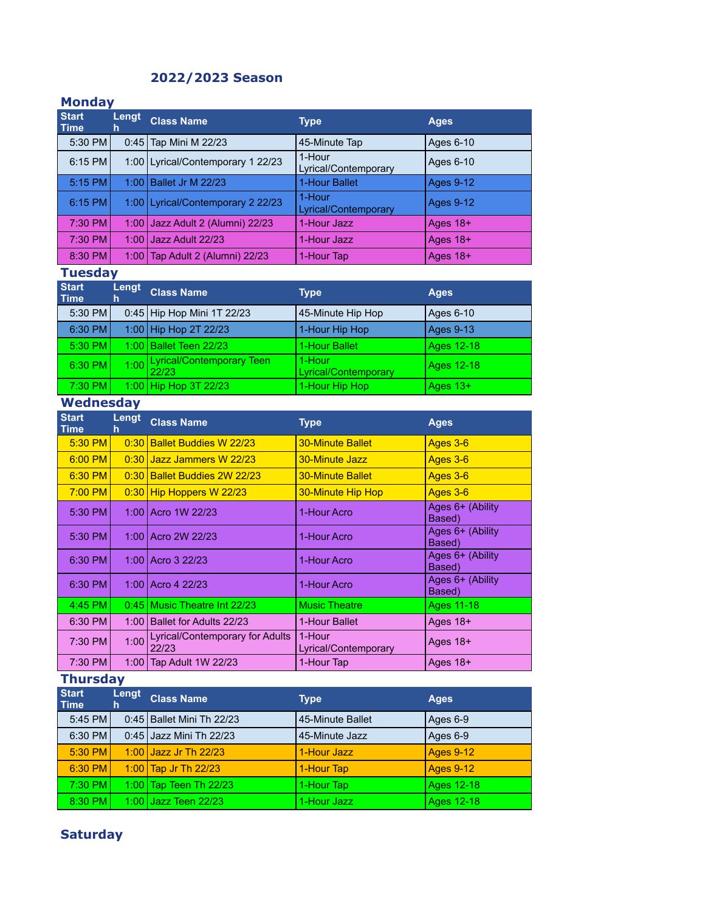# **2022/2023 Season**

### **Monday**

| <b>Start</b><br>Time | Lengt<br>h | <b>Class Name</b>                   | <b>Type</b>                    | <b>Ages</b>      |
|----------------------|------------|-------------------------------------|--------------------------------|------------------|
| 5:30 PM              | 0:45       | Tap Mini M 22/23                    | 45-Minute Tap                  | Ages 6-10        |
| 6:15 PM              |            | 1:00   Lyrical/Contemporary 1 22/23 | 1-Hour<br>Lyrical/Contemporary | Ages 6-10        |
| 5:15 PM              | 1:00       | <b>Ballet Jr M 22/23</b>            | 1-Hour Ballet                  | <b>Ages 9-12</b> |
| 6:15 PM              |            | 1:00   Lyrical/Contemporary 2 22/23 | 1-Hour<br>Lyrical/Contemporary | <b>Ages 9-12</b> |
| 7:30 PM              | 1:00       | Jazz Adult 2 (Alumni) 22/23         | 1-Hour Jazz                    | Ages $18+$       |
| 7:30 PM              | 1:00       | Jazz Adult 22/23                    | 1-Hour Jazz                    | Ages 18+         |
| 8:30 PM              | 1:001      | Tap Adult 2 (Alumni) 22/23          | 1-Hour Tap                     | Ages $18+$       |
| <b>Tuesday</b>       |            |                                     |                                |                  |

| <b>Start</b><br><b>Time</b> | Lengt<br>h | <b>Class Name</b>                       | Type                           | <b>Ages</b>      |
|-----------------------------|------------|-----------------------------------------|--------------------------------|------------------|
| 5:30 PM                     |            | 0:45   Hip Hop Mini 1T 22/23            | 45-Minute Hip Hop              | Ages 6-10        |
| 6:30 PM                     |            | 1:00 Hip Hop 2T 22/23                   | 1-Hour Hip Hop                 | <b>Ages 9-13</b> |
| 5:30 PM                     |            | 1:00   Ballet Teen 22/23                | 1-Hour Ballet                  | Ages 12-18       |
| $6:30$ PM                   |            | 1:00 Lyrical/Contemporary Teen<br>22/23 | 1-Hour<br>Lyrical/Contemporary | Ages 12-18       |
| 7:30 PM                     |            | $1:00$ Hip Hop 3T 22/23                 | 1-Hour Hip Hop                 | Ages $13+$       |
| <b>Wednesday</b>            |            |                                         |                                |                  |

| <b>Start</b><br><b>Time</b> | Lengt<br>h | <b>Class Name</b>                        | <b>Type</b>                    | <b>Ages</b>                |
|-----------------------------|------------|------------------------------------------|--------------------------------|----------------------------|
| 5:30 PM                     | 0:30       | <b>Ballet Buddies W 22/23</b>            | <b>30-Minute Ballet</b>        | Ages 3-6                   |
| $6:00$ PM                   | 0:30       | Jazz Jammers W 22/23                     | 30-Minute Jazz                 | Ages 3-6                   |
| $6:30$ PM                   | 0:30       | <b>Ballet Buddies 2W 22/23</b>           | <b>30-Minute Ballet</b>        | Ages 3-6                   |
| $7:00$ PM                   | 0:30       | Hip Hoppers W 22/23                      | <b>30-Minute Hip Hop</b>       | Ages 3-6                   |
| 5:30 PM                     |            | 1:00 Acro 1W 22/23                       | 1-Hour Acro                    | Ages 6+ (Ability<br>Based) |
| 5:30 PM                     | 1:001      | Acro 2W 22/23                            | 1-Hour Acro                    | Ages 6+ (Ability<br>Based) |
| $6:30$ PM                   |            | 1:00 Acro 3 22/23                        | 1-Hour Acro                    | Ages 6+ (Ability<br>Based) |
| 6:30 PM                     |            | 1:00 Acro 4 22/23                        | 1-Hour Acro                    | Ages 6+ (Ability<br>Based) |
| 4:45 PM                     |            | 0:45 Music Theatre Int 22/23             | <b>Music Theatre</b>           | Ages 11-18                 |
| 6:30 PM                     | 1:00       | Ballet for Adults 22/23                  | 1-Hour Ballet                  | Ages 18+                   |
| 7:30 PM                     | 1:00       | Lyrical/Contemporary for Adults<br>22/23 | 1-Hour<br>Lyrical/Contemporary | Ages $18+$                 |
| 7:30 PM                     |            | 1:00   Tap Adult 1W 22/23                | 1-Hour Tap                     | Ages 18+                   |

# **Thursday**

| <b>Start</b><br>Time | Lengt<br>'n. | <b>Class Name</b>                 | <b>Type</b>      | <b>Ages</b>      |
|----------------------|--------------|-----------------------------------|------------------|------------------|
| 5:45 PM              |              | 0:45   Ballet Mini Th 22/23       | 45-Minute Ballet | Ages 6-9         |
| 6:30 PM              |              | 0:45 Jazz Mini Th 22/23           | 45-Minute Jazz   | Ages 6-9         |
| 5:30 PM              |              | 1:00 Jazz Jr Th $22/23$           | 1-Hour Jazz      | <b>Ages 9-12</b> |
| 6:30 PM              |              | 1:00 $\sqrt{7ap}$ Jr Th 22/23     | 1-Hour Tap       | <b>Ages 9-12</b> |
| 7:30 PM              |              | 1:00 $\sqrt{7}$ Tap Teen Th 22/23 | 1-Hour Tap       | Ages 12-18       |
| 8:30 PM              |              | 1:00 Jazz Teen 22/23              | 1-Hour Jazz      | Ages 12-18       |

# **Saturday**